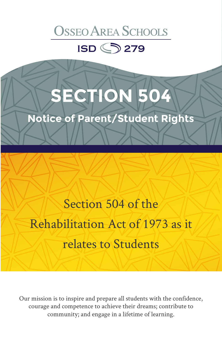### **OSSEO AREA SCHOOLS**

**ISD <>>>>>>>>>>>** 

## **ECTION 504**

**Notice of Parent/Student Rights**

Section 504 of the Rehabilitation Act of 1973 as it relates to Students

Our mission is to inspire and prepare all students with the confidence, courage and competence to achieve their dreams; contribute to community; and engage in a lifetime of learning.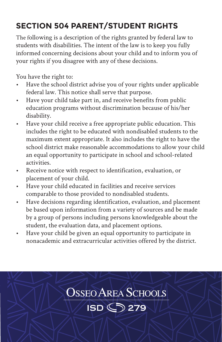#### **SECTION 504 PARENT/STUDENT RIGHTS**

The following is a description of the rights granted by federal law to students with disabilities. The intent of the law is to keep you fully informed concerning decisions about your child and to inform you of your rights if you disagree with any of these decisions.

You have the right to:

- Have the school district advise you of your rights under applicable federal law. This notice shall serve that purpose.
- Have your child take part in, and receive benefits from public education programs without discrimination because of his/her disability.
- Have your child receive a free appropriate public education. This includes the right to be educated with nondisabled students to the maximum extent appropriate. It also includes the right to have the school district make reasonable accommodations to allow your child an equal opportunity to participate in school and school-related activities.
- Receive notice with respect to identification, evaluation, or placement of your child.
- Have your child educated in facilities and receive services comparable to those provided to nondisabled students.
- Have decisions regarding identification, evaluation, and placement be based upon information from a variety of sources and be made by a group of persons including persons knowledgeable about the student, the evaluation data, and placement options.
- Have your child be given an equal opportunity to participate in nonacademic and extracurricular activities offered by the district.

# **OSSEO AREA SCHOOLS ISD <>>>>>>>279**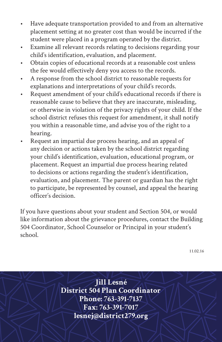- Have adequate transportation provided to and from an alternative placement setting at no greater cost than would be incurred if the student were placed in a program operated by the district.
- Examine all relevant records relating to decisions regarding your child's identification, evaluation, and placement.
- Obtain copies of educational records at a reasonable cost unless the fee would effectively deny you access to the records.
- A response from the school district to reasonable requests for explanations and interpretations of your child's records.
- Request amendment of your child's educational records if there is reasonable cause to believe that they are inaccurate, misleading, or otherwise in violation of the privacy rights of your child. If the school district refuses this request for amendment, it shall notify you within a reasonable time, and advise you of the right to a hearing.
- Request an impartial due process hearing, and an appeal of any decision or actions taken by the school district regarding your child's identification, evaluation, educational program, or placement. Request an impartial due process hearing related to decisions or actions regarding the student's identification, evaluation, and placement. The parent or guardian has the right to participate, be represented by counsel, and appeal the hearing officer's decision.

If you have questions about your student and Section 504, or would like information about the grievance procedures, contact the Building 504 Coordinator, School Counselor or Principal in your student's school.

11.02.16

**Jill Lesné District 504 Plan Coordinator Phone: 763-391-7137 Fax: 763-391-7017 lesnej@district279.org**